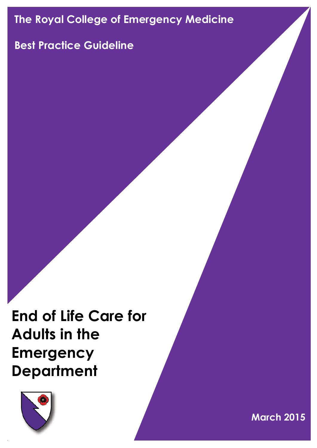# **The Royal College of Emergency Medicine**

# **Best Practice Guideline**

**End of Life Care for Adults in the Emergency Department**



**March 2015**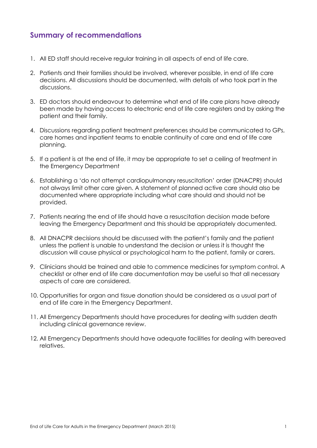## **Summary of recommendations**

- 1. All ED staff should receive regular training in all aspects of end of life care.
- 2. Patients and their families should be involved, wherever possible, in end of life care decisions. All discussions should be documented, with details of who took part in the discussions.
- 3. ED doctors should endeavour to determine what end of life care plans have already been made by having access to electronic end of life care registers and by asking the patient and their family.
- 4. Discussions regarding patient treatment preferences should be communicated to GPs, care homes and inpatient teams to enable continuity of care and end of life care planning.
- 5. If a patient is at the end of life, it may be appropriate to set a ceiling of treatment in the Emergency Department
- 6. Establishing a 'do not attempt cardiopulmonary resuscitation' order (DNACPR) should not always limit other care given. A statement of planned active care should also be documented where appropriate including what care should and should not be provided.
- 7. Patients nearing the end of life should have a resuscitation decision made before leaving the Emergency Department and this should be appropriately documented.
- 8. All DNACPR decisions should be discussed with the patient's family and the patient unless the patient is unable to understand the decision or unless it is thought the discussion will cause physical or psychological harm to the patient, family or carers.
- 9. Clinicians should be trained and able to commence medicines for symptom control. A checklist or other end of life care documentation may be useful so that all necessary aspects of care are considered.
- 10. Opportunities for organ and tissue donation should be considered as a usual part of end of life care in the Emergency Department.
- 11. All Emergency Departments should have procedures for dealing with sudden death including clinical governance review.
- 12. All Emergency Departments should have adequate facilities for dealing with bereaved relatives.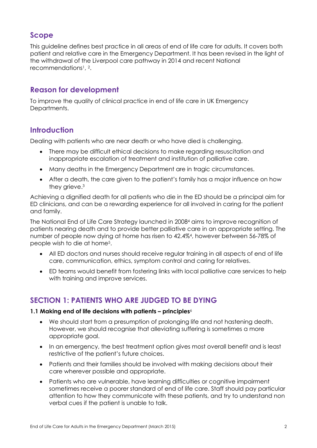## **Scope**

This guideline defines best practice in all areas of end of life care for adults. It covers both patient and relative care in the Emergency Department. It has been revised in the light of the withdrawal of the Liverpool care pathway in 2014 and recent National recommendations<sup>1</sup>, <sup>2</sup>.

## <span id="page-2-2"></span>**Reason for development**

To improve the quality of clinical practice in end of life care in UK Emergency Departments.

## **Introduction**

Dealing with patients who are near death or who have died is challenging.

- There may be difficult ethical decisions to make regarding resuscitation and inappropriate escalation of treatment and institution of palliative care.
- Many deaths in the Emergency Department are in tragic circumstances.
- After a death, the care given to the patient's family has a major influence on how they grieve.<sup>3</sup>

Achieving a dignified death for all patients who die in the ED should be a principal aim for ED clinicians, and can be a rewarding experience for all involved in caring for the patient and family.

The National End of Life Care Strategy launched in 2008<sup>4</sup> aims to improve recognition of patients nearing death and to provide better palliative care in an appropriate setting. The number of people now dying at home has risen to 42.4%<sup>4</sup> [,](#page-2-0) however between 56-78% of people wish to die at home<sup>5</sup> .

- <span id="page-2-0"></span> All ED doctors and nurses should receive regular training in all aspects of end of life care, communication, ethics, symptom control and caring for relatives.
- ED teams would benefit from fostering links with local palliative care services to help with training and improve services.

## **SECTION 1: PATIENTS WHO ARE JUDGED TO BE DYING**

#### **1.1 Making end of life decisions with patients – principles**<sup>6</sup>

- <span id="page-2-1"></span> We should start from a presumption of prolonging life and not hastening death. However, we should recognise that alleviating suffering is sometimes a more appropriate goal.
- In an emergency, the best treatment option gives most overall benefit and is least restrictive of the patient's future choices.
- Patients and their families should be involved with making decisions about their care wherever possible and appropriate.
- Patients who are vulnerable, have learning difficulties or cognitive impairment sometimes receive a poorer standard of end of life care. Staff should pay particular attention to how they communicate with these patients, and try to understand non verbal cues if the patient is unable to talk.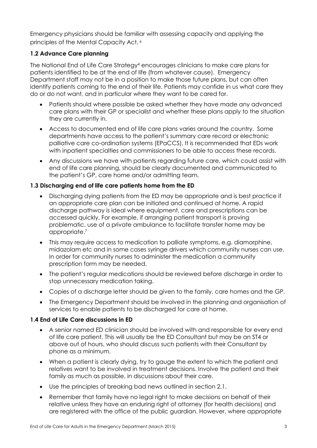Emergency physicians should be familiar with assessing capacity and applying the principles of the Mental Capacity Act. [6](#page-2-1)

### **1.2 Advance Care planning**

The National End of Life Care Strateg[y](#page-2-0)<sup>4</sup> encourages clinicians to make care plans for patients identified to be at the end of life (from whatever cause). Emergency Department staff may not be in a position to make those future plans, but can often identify patients coming to the end of their life. Patients may confide in us what care they do or do not want, and in particular where they want to be cared for.

- Patients should where possible be asked whether they have made any advanced care plans with their GP or specialist and whether these plans apply to the situation they are currently in.
- Access to documented end of life care plans varies around the country. Some departments have access to the patient's summary care record or electronic palliative care co-ordination systems (EPaCCS). It is recommended that EDs work with inpatient specialties and commissioners to be able to access these records.
- Any discussions we have with patients regarding future care, which could assist with end of life care planning, should be clearly documented and communicated to the patient's GP, care home and/or admitting team.

#### **1.3 Discharging end of life care patients home from the ED**

- Discharging dying patients from the ED may be appropriate and is best practice if an appropriate care plan can be initiated and continued at home. A rapid discharge pathway is ideal where equipment, care and prescriptions can be accessed quickly. For example, if arranging patient transport is proving problematic, use of a private ambulance to facilitate transfer home may be appropriate.<sup>7</sup>
- This may require access to medication to palliate symptoms, e.g. diamorphine, midazolam etc and in some cases syringe drivers which community nurses can use. In order for community nurses to administer the medication a community prescription form may be needed.
- The patient's regular medications should be reviewed before discharge in order to stop unnecessary medication taking.
- Copies of a discharge letter should be given to the family, care homes and the GP.
- The Emergency Department should be involved in the planning and organisation of services to enable patients to be discharged for care at home.

#### **1.4 End of Life Care discussions in ED**

- A senior named ED clinician should be involved with and responsible for every end of life care patient. This will usually be the ED Consultant but may be an ST4 or above out of hours, who should discuss such patients with their Consultant by phone as a minimum.
- When a patient is clearly dying, try to gauge the extent to which the patient and relatives want to be involved in treatment decisions. Involve the patient and their family as much as possible, in discussions about their care.
- Use the principles of breaking bad news outlined in section 2.1.
- Remember that family have no legal right to make decisions on behalf of their relative unless they have an enduring right of attorney (for health decisions) and are registered with the office of the public guardian. However, where appropriate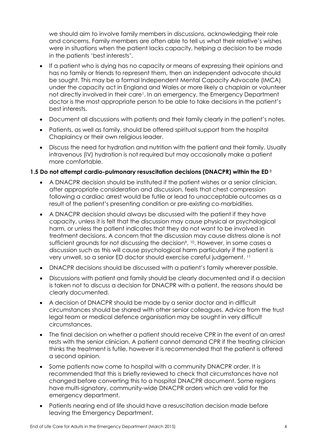we should aim to involve family members in discussions, acknowledging their role and concerns. Family members are often able to tell us what their relative's wishes were in situations when the patient lacks capacity, helping a decision to be made in the patients 'best interests'.

- If a patient who is dying has no capacity or means of expressing their opinions and has no family or friends to represent them, then an independent advocate should be sought. This may be a formal Independent Mental Capacity Advocate (IMCA) under the capacity act in England and Wales or more likely a chaplain or volunteer not dir[e](#page-2-2)ctly involved in their care<sup>1</sup>. In an emergency, the Emergency Department doctor is the most appropriate person to be able to take decisions in the patient's best interests.
- Document all discussions with patients and their family clearly in the patient's notes.
- Patients, as well as family, should be offered spiritual support from the hospital Chaplaincy or their own religious leader.
- Discuss the need for hydration and nutrition with the patient and their family. Usually intravenous (IV) hydration is not required but may occasionally make a patient more comfortable.

#### **1.5 Do not attempt cardio-pulmonary resuscitation decisions (DNACPR) within the ED** <sup>8</sup>

- A DNACPR decision should be instituted if the patient wishes or a senior clinician, after appropriate consideration and discussion, feels that chest compression following a cardiac arrest would be futile or lead to unacceptable outcomes as a result of the patient's presenting condition or pre-existing co-morbidities.
- A DNACPR decision should always be discussed with the patient if they have capacity, unless it is felt that the discussion may cause physical or psychological harm, or unless the patient indicates that they do not want to be involved in treatment decisions. A concern that the discussion may cause distress alone is not sufficient grounds for not discussing the decision<sup>9</sup>, <sup>10</sup>. However, in some cases a discussion such as this will cause psychological harm particularly if the patient is very unwell, so a senior ED doctor should exercise careful judgement. <sup>11</sup>
- DNACPR decisions should be discussed with a patient's family wherever possible.
- Discussions with patient and family should be clearly documented and if a decision is taken not to discuss a decision for DNACPR with a patient, the reasons should be clearly documented.
- A decision of DNACPR should be made by a senior doctor and in difficult circumstances should be shared with other senior colleagues. Advice from the trust legal team or medical defence organisation may be sought in very difficult circumstances.
- The final decision on whether a patient should receive CPR in the event of an arrest rests with the senior clinician. A patient cannot demand CPR if the treating clinician thinks the treatment is futile, however it is recommended that the patient is offered a second opinion.
- Some patients now come to hospital with a community DNACPR order. It is recommended that this is briefly reviewed to check that circumstances have not changed before converting this to a hospital DNACPR document. Some regions have multi-signatory, community-wide DNACPR orders which are valid for the emergency department.
- Patients nearing end of life should have a resuscitation decision made before leaving the Emergency Department.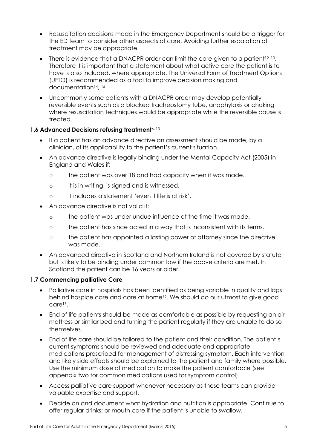- Resuscitation decisions made in the Emergency Department should be a trigger for the ED team to consider other aspects of care. Avoiding further escalation of treatment may be appropriate
- <span id="page-5-0"></span>• There is evidence that a DNACPR order can limit the care given to a patient<sup>12, 13</sup>. Therefore it is important that a statement about what active care the patient is to have is also included, where appropriate. The Universal Form of Treatment Options (UFTO) is recommended as a tool to improve decision making and documentation<sup>14</sup>, <sup>15</sup>.
- Uncommonly some patients with a DNACPR order may develop potentially reversible events such as a blocked tracheostomy tube, anaphylaxis or choking where resuscitation techniques would be appropriate while the reversible cause is treated.

#### **1.6 Advanced Decisions refusing treatment**<sup>[6,](#page-2-1) [13](#page-5-0)</sup>

- If a patient has an advance directive an assessment should be made, by a clinician, of its applicability to the patient's current situation.
- An advance directive is legally binding under the Mental Capacity Act (2005) in England and Wales if:
	- o the patient was over 18 and had capacity when it was made.
	- o it is in writing, is signed and is witnessed.
	- o it includes a statement 'even if life is at risk'.
- An advance directive is not valid if:
	- o the patient was under undue influence at the time it was made.
	- o the patient has since acted in a way that is inconsistent with its terms.
	- o the patient has appointed a lasting power of attorney since the directive was made.
- An advanced directive in Scotland and Northern Ireland is not covered by statute but is likely to be binding under common law if the above criteria are met. In Scotland the patient can be 16 years or older.

#### **1.7 Commencing palliative Care**

- Palliative care in hospitals has been identified as being variable in quality and lags behind hospice care and care at home16. We should do our utmost to give good care<sup>17</sup>.
- End of life patients should be made as comfortable as possible by requesting an air mattress or similar bed and turning the patient regularly if they are unable to do so themselves.
- End of life care should be tailored to the patient and their condition. The patient's current symptoms should be reviewed and adequate and appropriate medications prescribed for management of distressing symptom. Each intervention and likely side effects should be explained to the patient and family where possible. Use the minimum dose of medication to make the patient comfortable (see appendix two for common medications used for symptom control).
- Access palliative care support whenever necessary as these teams can provide valuable expertise and support.
- Decide on and document what hydration and nutrition is appropriate. Continue to offer regular drinks; or mouth care if the patient is unable to swallow.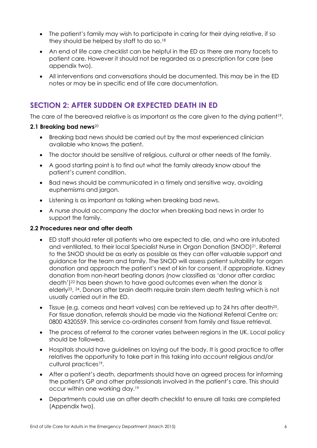- The patient's family may wish to participate in caring for their dying relative, if so they should be helped by staff to do so.<sup>18</sup>
- An end of life care checklist can be helpful in the ED as there are many facets to patient care. However it should not be regarded as a prescription for care (see appendix two).
- All interventions and conversations should be documented. This may be in the ED notes or may be in specific end of life care documentation.

## **SECTION 2: AFTER SUDDEN OR EXPECTED DEATH IN ED**

The care of the bereaved relative is as important as the care given to the dying patient<sup>19</sup>.

#### **2.1 Breaking bad news**<sup>20</sup>

- <span id="page-6-0"></span> Breaking bad news should be carried out by the most experienced clinician available who knows the patient.
- The doctor should be sensitive of religious, cultural or other needs of the family.
- A good starting point is to find out what the family already know about the patient's current condition.
- Bad news should be communicated in a timely and sensitive way, avoiding euphemisms and jargon.
- Listening is as important as talking when breaking bad news.
- A nurse should accompany the doctor when breaking bad news in order to support the family.

#### **2.2 Procedures near and after death**

- ED staff should refer all patients who are expected to die, and who are intubated and ventilated, to their local Specialist Nurse in Organ Donation (SNOD)21. Referral to the SNOD should be as early as possible as they can offer valuable support and guidance for the team and family. The SNOD will assess patient suitability for organ donation and approach the patient's next of kin for consent, if appropriate. Kidney donation from non-heart beating donors (now classified as 'donor after cardiac death')<sup>22</sup> has been shown to have good outcomes even when the donor is elderly<sup>23</sup>, <sup>24</sup>. Donors after brain death require brain stem death testing which is not usually carried out in the ED.
- $\bullet$  Tissue (e.g. corneas and heart valves) can be retrieved up to 24 hrs after death<sup>25</sup>. For tissue donation, referrals should be made via the National Referral Centre on: 0800 4320559. This service co-ordinates consent from family and tissue retrieval.
- The process of referral to the coroner varies between regions in the UK. Local policy should be followed.
- Hospitals should have guidelines on laying out the body. It is good practice to offer relatives the opportunity to take part in this taking into account religious and/or cultural practices<sup>[19](#page-6-0)</sup>.
- After a patient's death, departments should have an agreed process for informing the patient's GP and other professionals involved in the patient's care. This should occur within one working day.[19](#page-6-0)
- Departments could use an after death checklist to ensure all tasks are completed (Appendix two).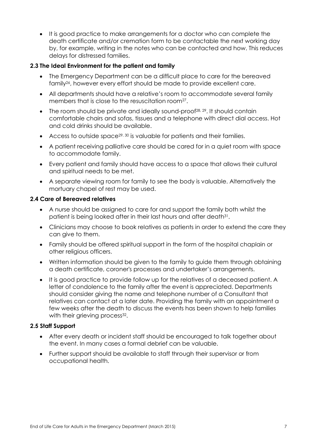It is good practice to make arrangements for a doctor who can complete the death certificate and/or cremation form to be contactable the next working day by, for example, writing in the notes who can be contacted and how. This reduces delays for distressed families.

#### **2.3 The Ideal Environment for the patient and family**

- The Emergency Department can be a difficult place to care for the bereaved family26, however every effort should be made to provide excellent care.
- All departments should have a relative's room to accommodate several family members that is close to the resuscitation room<sup>27</sup>.
- <span id="page-7-0"></span>• The room should be private and ideally sound-proof<sup>28, 29</sup>. It should contain comfortable chairs and sofas, tissues and a telephone with direct dial access. Hot and cold drinks should be available.
- Access to outside space<sup>[29,](#page-7-0) 30</sup> is valuable for patients and their families.
- A patient receiving palliative care should be cared for in a quiet room with space to accommodate family.
- Every patient and family should have access to a space that allows their cultural and spiritual needs to be met.
- A separate viewing room for family to see the body is valuable. Alternatively the mortuary chapel of rest may be used.

#### **2.4 Care of Bereaved relatives**

- A nurse should be assigned to care for and support the family both whilst the patient is being looked after in their last hours and after death<sup>31</sup>.
- Clinicians may choose to book relatives as patients in order to extend the care they can give to them.
- Family should be offered spiritual support in the form of the hospital chaplain or other religious officers.
- Written information should be given to the family to guide them through obtaining a death certificate, coroner's processes and undertaker's arrangements.
- It is good practice to provide follow up for the relatives of a deceased patient. A letter of condolence to the family after the event is appreciated. Departments should consider giving the name and telephone number of a Consultant that relatives can contact at a later date. Providing the family with an appointment a few weeks after the death to discuss the events has been shown to help families with their grieving process<sup>32</sup>.

#### **2.5 Staff Support**

- After every death or incident staff should be encouraged to talk together about the event. In many cases a formal debrief can be valuable.
- Further support should be available to staff through their supervisor or from occupational health.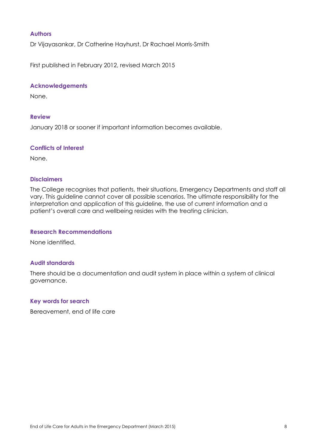#### **Authors**

Dr Vijayasankar, Dr Catherine Hayhurst, Dr Rachael Morris-Smith

First published in February 2012, revised March 2015

#### **Acknowledgements**

None.

#### **Review**

January 2018 or sooner if important information becomes available.

#### **Conflicts of Interest**

None.

#### **Disclaimers**

The College recognises that patients, their situations, Emergency Departments and staff all vary. This guideline cannot cover all possible scenarios. The ultimate responsibility for the interpretation and application of this guideline, the use of current information and a patient's overall care and wellbeing resides with the treating clinician.

#### **Research Recommendations**

None identified.

#### **Audit standards**

There should be a documentation and audit system in place within a system of clinical governance.

#### **Key words for search**

Bereavement, end of life care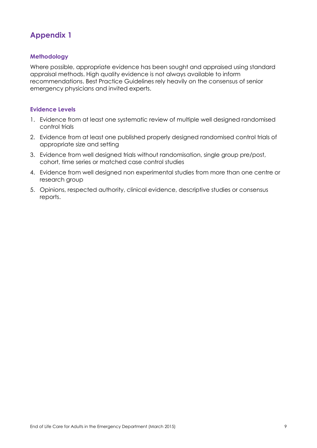## **Appendix 1**

#### **Methodology**

Where possible, appropriate evidence has been sought and appraised using standard appraisal methods. High quality evidence is not always available to inform recommendations. Best Practice Guidelines rely heavily on the consensus of senior emergency physicians and invited experts.

#### **Evidence Levels**

- 1. Evidence from at least one systematic review of multiple well designed randomised control trials
- 2. Evidence from at least one published properly designed randomised control trials of appropriate size and setting
- 3. Evidence from well designed trials without randomisation, single group pre/post, cohort, time series or matched case control studies
- 4. Evidence from well designed non experimental studies from more than one centre or research group
- 5. Opinions, respected authority, clinical evidence, descriptive studies or consensus reports.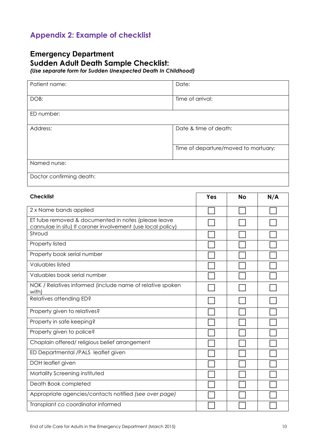## **Appendix 2: Example of checklist**

## **Emergency Department Sudden Adult Death Sample Checklist:**

*(Use separate form for Sudden Unexpected Death In Childhood)*

| Patient name:            | Date:                                |
|--------------------------|--------------------------------------|
| DOB:                     | Time of arrival:                     |
| ED number:               |                                      |
| Address:                 | Date & time of death:                |
|                          | Time of departure/moved to mortuary: |
| Named nurse:             |                                      |
| Doctor confirming death: |                                      |

| <b>Checklist</b>                                                                                                   | Yes | <b>No</b> | N/A |
|--------------------------------------------------------------------------------------------------------------------|-----|-----------|-----|
| 2 x Name bands applied                                                                                             |     |           |     |
| ET tube removed & documented in notes (please leave<br>cannulae in situ) If coroner involvement (use local policy) |     |           |     |
| Shroud                                                                                                             |     |           |     |
| Property listed                                                                                                    |     |           |     |
| Property book serial number                                                                                        |     |           |     |
| <b>Valuables listed</b>                                                                                            |     |           |     |
| Valuables book serial number                                                                                       |     |           |     |
| NOK / Relatives informed (include name of relative spoken<br>with)                                                 |     |           |     |
| Relatives attending ED?                                                                                            |     |           |     |
| Property given to relatives?                                                                                       |     |           |     |
| Property in safe keeping?                                                                                          |     |           |     |
| Property given to police?                                                                                          |     |           |     |
| Chaplain offered/religious belief arrangement                                                                      |     |           |     |
| ED Departmental /PALS leaflet given                                                                                |     |           |     |
| DOH leaflet given                                                                                                  |     |           |     |
| Mortality Screening instituted                                                                                     |     |           |     |
| Death Book completed                                                                                               |     |           |     |
| Appropriate agencies/contacts notified (see over page)                                                             |     |           |     |
| Transplant co coordinator informed                                                                                 |     |           |     |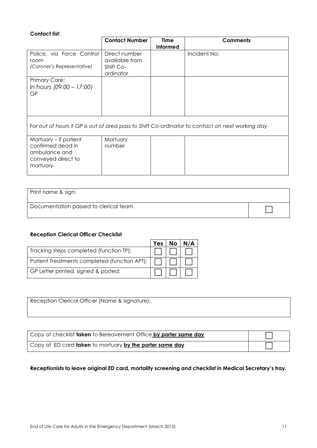#### **Contact list:**

|                                                                                                  | <b>Contact Number</b>                                     | <b>Time</b><br><b>Informed</b> | <b>Comments</b>                                                                                 |
|--------------------------------------------------------------------------------------------------|-----------------------------------------------------------|--------------------------------|-------------------------------------------------------------------------------------------------|
| Police, via Force Control<br>room<br>(Coroner's Representative)                                  | Direct number<br>available from<br>Shift Co-<br>ordinator |                                | Incident No:                                                                                    |
| Primary Care:<br>In hours $(09:00 - 17:00)$<br><b>GP</b>                                         |                                                           |                                |                                                                                                 |
|                                                                                                  |                                                           |                                | For out of hours if GP is out of area pass to Shift Co-ordinator to contact on next working day |
| Mortuary $-$ if patient<br>confirmed dead in<br>ambulance and<br>conveyed direct to<br>mortuary. | Mortuary<br>number                                        |                                |                                                                                                 |

| Print name & sign:                    |  |
|---------------------------------------|--|
| Documentation passed to clerical team |  |

#### **Reception Clerical Officer Checklist**

|                                                     | Yes: | No | N/A |
|-----------------------------------------------------|------|----|-----|
| Tracking steps completed (function TP):             |      |    |     |
| Patient Treatments completed (function APT): $\Box$ |      |    |     |
| GP Letter printed, signed & posted:                 |      |    |     |

| Reception Clerical Officer (Name & signature): |  |
|------------------------------------------------|--|
|                                                |  |
|                                                |  |

| Copy of checklist taken to Bereavement Office by porter same day |  |
|------------------------------------------------------------------|--|
| Copy of ED card taken to mortuary by the porter same day         |  |

**Receptionists to leave original ED card, mortality screening and checklist in Medical Secretary's tray.**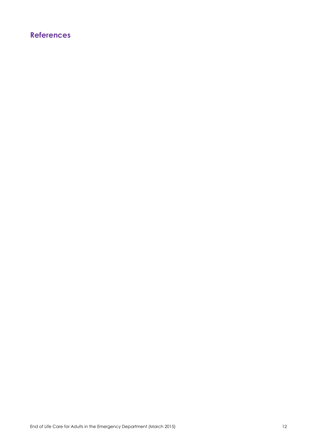## **References**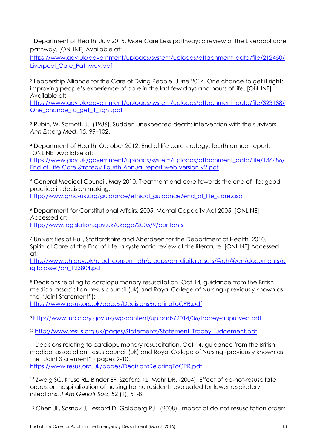<sup>1</sup> Department of Health. July 2015. More Care Less pathway: a review of the Liverpool care pathway. [ONLINE] Available at:

[https://www.gov.uk/government/uploads/system/uploads/attachment\\_data/file/212450/](https://www.gov.uk/government/uploads/system/uploads/attachment_data/file/212450/Liverpool_Care_Pathway.pdf) [Liverpool\\_Care\\_Pathway.pdf](https://www.gov.uk/government/uploads/system/uploads/attachment_data/file/212450/Liverpool_Care_Pathway.pdf)

<sup>2</sup> Leadership Alliance for the Care of Dying People. June 2014. One chance to get it right: improving people's experience of care in the last few days and hours of life. [ONLINE] Available at:

[https://www.gov.uk/government/uploads/system/uploads/attachment\\_data/file/323188/](https://www.gov.uk/government/uploads/system/uploads/attachment_data/file/323188/One_chance_to_get_it_right.pdf) One chance to get it right.pdf

<sup>3</sup> Rubin, W, Sarnoff, J. (1986). Sudden unexpected death: intervention with the survivors. *Ann Emerg Med*. 15, 99–102.

<sup>4</sup> Department of Health. October 2012. End of life care strategy: fourth annual report. [ONLINE] Available at:

[https://www.gov.uk/government/uploads/system/uploads/attachment\\_data/file/136486/](https://www.gov.uk/government/uploads/system/uploads/attachment_data/file/136486/End-of-Life-Care-Strategy-Fourth-Annual-report-web-version-v2.pdf) [End-of-Life-Care-Strategy-Fourth-Annual-report-web-version-v2.pdf](https://www.gov.uk/government/uploads/system/uploads/attachment_data/file/136486/End-of-Life-Care-Strategy-Fourth-Annual-report-web-version-v2.pdf)

<sup>5</sup> General Medical Council. May 2010. Treatment and care towards the end of life: good practice in decision making: [http://www.gmc-uk.org/guidance/ethical\\_guidance/end\\_of\\_life\\_care.asp](http://www.gmc-uk.org/guidance/ethical_guidance/end_of_life_care.asp)

<sup>6</sup> Department for Constitutional Affairs. 2005. Mental Capacity Act 2005. [ONLINE] Accessed at: <http://www.legislation.gov.uk/ukpga/2005/9/contents>

<sup>7</sup> Universities of Hull, Staffordshire and Aberdeen for the Department of Health. 2010. Spiritual Care at the End of Life: a systematic review of the literature. [ONLINE] Accessed at:

[http://www.dh.gov.uk/prod\\_consum\\_dh/groups/dh\\_digitalassets/@dh/@en/documents/d](http://www.dh.gov.uk/prod_consum_dh/groups/dh_digitalassets/@dh/@en/documents/digitalasset/dh_123804.pdf) [igitalasset/dh\\_123804.pdf](http://www.dh.gov.uk/prod_consum_dh/groups/dh_digitalassets/@dh/@en/documents/digitalasset/dh_123804.pdf)

<sup>8</sup> Decisions relating to cardiopulmonary resuscitation. Oct 14, quidance from the British medical association, resus council (uk) and Royal College of Nursing (previously known as the "Joint Statement"):

<https://www.resus.org.uk/pages/DecisionsRelatingToCPR.pdf>

<sup>9</sup> <http://www.judiciary.gov.uk/wp-content/uploads/2014/06/tracey-approved.pdf>

<sup>10</sup> [http://www.resus.org.uk/pages/Statements/Statement\\_Tracey\\_judgement.pdf](http://www.resus.org.uk/pages/Statements/Statement_Tracey_judgement.pdf)

<sup>11</sup> Decisions relating to cardiopulmonary resuscitation. Oct 14, guidance from the British medical association, resus council (uk) and Royal College of Nursing (previously known as the "Joint Statement" ) pages 9-10:

[https://www.resus.org.uk/pages/DecisionsRelatingToCPR.pdf.](https://www.resus.org.uk/pages/DecisionsRelatingToCPR.pdf)

<sup>12</sup> Zweig SC, Kruse RL, Binder EF, Szafara KL, Mehr DR. (2004). Effect of do-not-resuscitate orders on hospitalization of nursing home residents evaluated for lower respiratory infections. *J Am Geriatr Soc*. 52 (1), 51-8.

13 Chen JL, Sosnov J, Lessard D, Goldberg RJ. (2008). Impact of do-not-resuscitation orders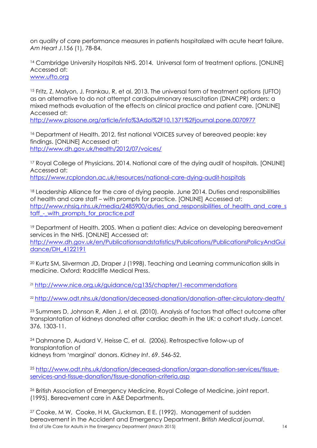on quality of care performance measures in patients hospitalized with acute heart failure. *Am Heart J*.156 (1), 78-84.

<sup>14</sup> Cambridge University Hospitals NHS. 2014. Universal form of treatment options. [ONLINE] Accessed at:

[www.ufto.org](http://www.ufto.org/)

<sup>15</sup> Fritz, Z, Malyon, J, Frankau, R, et al. 2013. The universal form of treatment options (UFTO) as an alternative to do not attempt cardiopulmonary resuscitation (DNACPR) orders: a mixed methods evaluation of the effects on clinical practice and patient care. [ONLINE] Accessed at:

<http://www.plosone.org/article/info%3Adoi%2F10.1371%2Fjournal.pone.0070977>

<sup>16</sup> Department of Health. 2012. first national VOICES survey of bereaved people: key findings. [ONLINE] Accessed at: <http://www.dh.gov.uk/health/2012/07/voices/>

<sup>17</sup> Royal College of Physicians. 2014. National care of the dying audit of hospitals. [ONLINE] Accessed at:

<https://www.rcplondon.ac.uk/resources/national-care-dying-audit-hospitals>

<sup>18</sup> Leadership Alliance for the care of dying people. June 2014. Duties and responsibilities of health and care staff – with prompts for practice. [ONLINE] Accessed at: http://www.nhsig.nhs.uk/media/2485900/duties\_and\_responsibilities\_of\_health\_and\_care\_s taff - with prompts for practice.pdf

<sup>19</sup> Department of Health. 2005. When a patient dies: Advice on developing bereavement services in the NHS. [ONLNE] Accessed at:

[http://www.dh.gov.uk/en/Publicationsandstatistics/Publications/PublicationsPolicyAndGui](http://www.dh.gov.uk/en/Publicationsandstatistics/Publications/PublicationsPolicyAndGuidance/DH_4122191) [dance/DH\\_4122191](http://www.dh.gov.uk/en/Publicationsandstatistics/Publications/PublicationsPolicyAndGuidance/DH_4122191)

<sup>20</sup> Kurtz SM, Silverman JD, Draper J (1998). Teaching and Learning communication skills in medicine. Oxford: Radcliffe Medical Press.

<sup>21</sup> <http://www.nice.org.uk/guidance/cg135/chapter/1-recommendations>

<sup>22</sup> <http://www.odt.nhs.uk/donation/deceased-donation/donation-after-circulatory-death/>

<sup>23</sup> Summers D, Johnson R, Allen J, et al. (2010). Analysis of factors that affect outcome after transplantation of kidneys donated after cardiac death in the UK: a cohort study. *Lancet.*  376, 1303-11.

<sup>24</sup> Dahmane D, Audard V, Heisse C, et al. (2006). Retrospective follow-up of transplantation of kidneys from 'marginal' donors. *Kidney Int*. 69. 546-52.

<sup>25</sup> [http://www.odt.nhs.uk/donation/deceased-donation/organ-donation-services/tissue](http://www.odt.nhs.uk/donation/deceased-donation/organ-donation-services/tissue-services-and-tissue-donation/tissue-donation-criteria.asp)[services-and-tissue-donation/tissue-donation-criteria.asp](http://www.odt.nhs.uk/donation/deceased-donation/organ-donation-services/tissue-services-and-tissue-donation/tissue-donation-criteria.asp)

<sup>26</sup> British Association of Emergency Medicine, Royal College of Medicine, joint report. (1995). Bereavement care in A&E Departments.

End of Life Care for Adults in the Emergency Department (March 2015) 14 <sup>27</sup> Cooke, M W, Cooke, H M, Glucksman, E E. (1992). Management of sudden bereavement in the Accident and Emergency Department. *British Medical journal*.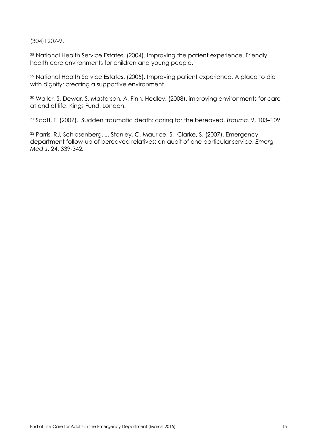(304)1207-9.

<sup>28</sup> National Health Service Estates. (2004). Improving the patient experience. Friendly health care environments for children and young people.

<sup>29</sup> National Health Service Estates. (2005). Improving patient experience. A place to die with dignity: creating a supportive environment.

<sup>30</sup> Waller, S, Dewar, S, Masterson, A, Finn, Hedley. (2008). improving environments for care at end of life. Kings Fund, London.

<sup>31</sup> Scott, T. (2007). Sudden traumatic death: caring for the bereaved. *Trauma*. 9, 103–109

<sup>32</sup> [Parris,](http://emj.bmj.com/search?author1=R+J+Parris&sortspec=date&submit=Submit) RJ, [Schlosenberg,](http://emj.bmj.com/search?author1=J+Schlosenberg&sortspec=date&submit=Submit) J, [Stanley,](http://emj.bmj.com/search?author1=C+Stanley&sortspec=date&submit=Submit) C, [Maurice,](http://emj.bmj.com/search?author1=S+Maurice&sortspec=date&submit=Submit) S, [Clarke,](http://emj.bmj.com/search?author1=S+F+J+Clarke&sortspec=date&submit=Submit) S. (2007). Emergency department follow-up of bereaved relatives: an audit of one particular service. *Emerg Med J*. 24, 339-342*.*